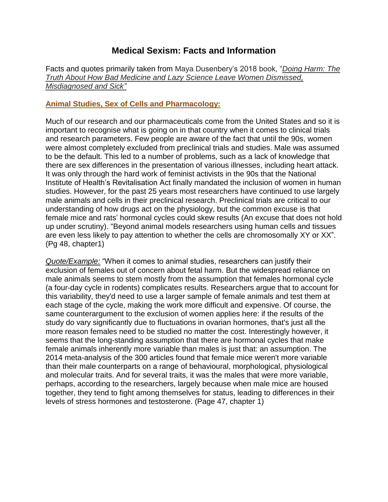# **Medical Sexism: Facts and Information**

Facts and quotes primarily taken from Maya Dusenbery's 2018 book, "*Doing Harm: The Truth About How Bad Medicine and Lazy Science Leave Women Dismissed, Misdiagnosed and Sick"*

## **Animal Studies, Sex of Cells and Pharmacology:**

Much of our research and our pharmaceuticals come from the United States and so it is important to recognise what is going on in that country when it comes to clinical trials and research parameters. Few people are aware of the fact that until the 90s, women were almost completely excluded from preclinical trials and studies. Male was assumed to be the default. This led to a number of problems, such as a lack of knowledge that there are sex differences in the presentation of various illnesses, including heart attack. It was only through the hard work of feminist activists in the 90s that the National Institute of Health's Revitalisation Act finally mandated the inclusion of women in human studies. However, for the past 25 years most researchers have continued to use largely male animals and cells in their preclinical research. Preclinical trials are critical to our understanding of how drugs act on the physiology, but the common excuse is that female mice and rats' hormonal cycles could skew results (An excuse that does not hold up under scrutiny). "Beyond animal models researchers using human cells and tissues are even less likely to pay attention to whether the cells are chromosomally XY or XX". (Pg 48, chapter1)

*Quote/Example:* "When it comes to animal studies, researchers can justify their exclusion of females out of concern about fetal harm. But the widespread reliance on male animals seems to stem mostly from the assumption that females hormonal cycle (a four-day cycle in rodents) complicates results. Researchers argue that to account for this variability, they'd need to use a larger sample of female animals and test them at each stage of the cycle, making the work more difficult and expensive. Of course, the same counterargument to the exclusion of women applies here: if the results of the study do vary significantly due to fluctuations in ovarian hormones, that's just all the more reason females need to be studied no matter the cost. Interestingly however, it seems that the long-standing assumption that there are hormonal cycles that make female animals inherently more variable than males is just that: an assumption. The 2014 meta-analysis of the 300 articles found that female mice weren't more variable than their male counterparts on a range of behavioural, morphological, physiological and molecular traits. And for several traits, it was the males that were more variable, perhaps, according to the researchers, largely because when male mice are housed together, they tend to fight among themselves for status, leading to differences in their levels of stress hormones and testosterone. (Page 47, chapter 1)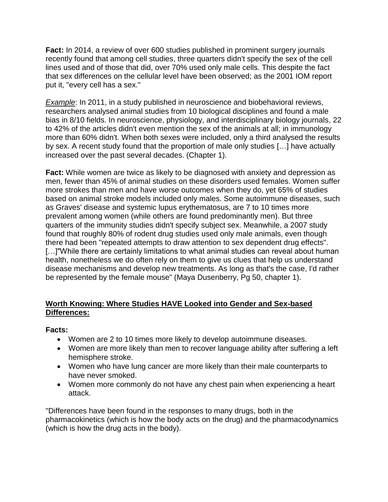**Fact:** In 2014, a review of over 600 studies published in prominent surgery journals recently found that among cell studies, three quarters didn't specify the sex of the cell lines used and of those that did, over 70% used only male cells. This despite the fact that sex differences on the cellular level have been observed; as the 2001 IOM report put it, "every cell has a sex."

*Example*: In 2011, in a study published in neuroscience and biobehavioral reviews, researchers analysed animal studies from 10 biological disciplines and found a male bias in 8/10 fields. In neuroscience, physiology, and interdisciplinary biology journals, 22 to 42% of the articles didn't even mention the sex of the animals at all; in immunology more than 60% didn't. When both sexes were included, only a third analysed the results by sex. A recent study found that the proportion of male only studies […] have actually increased over the past several decades. (Chapter 1).

**Fact:** While women are twice as likely to be diagnosed with anxiety and depression as men, fewer than 45% of animal studies on these disorders used females. Women suffer more strokes than men and have worse outcomes when they do, yet 65% of studies based on animal stroke models included only males. Some autoimmune diseases, such as Graves' disease and systemic lupus erythematosus, are 7 to 10 times more prevalent among women (while others are found predominantly men). But three quarters of the immunity studies didn't specify subject sex. Meanwhile, a 2007 study found that roughly 80% of rodent drug studies used only male animals, even though there had been "repeated attempts to draw attention to sex dependent drug effects". [...]"While there are certainly limitations to what animal studies can reveal about human health, nonetheless we do often rely on them to give us clues that help us understand disease mechanisms and develop new treatments. As long as that's the case, I'd rather be represented by the female mouse" (Maya Dusenberry, Pg 50, chapter 1).

# **Worth Knowing: Where Studies HAVE Looked into Gender and Sex-based Differences:**

## **Facts:**

- Women are 2 to 10 times more likely to develop autoimmune diseases.
- Women are more likely than men to recover language ability after suffering a left hemisphere stroke.
- Women who have lung cancer are more likely than their male counterparts to have never smoked.
- Women more commonly do not have any chest pain when experiencing a heart attack.

"Differences have been found in the responses to many drugs, both in the pharmacokinetics (which is how the body acts on the drug) and the pharmacodynamics (which is how the drug acts in the body).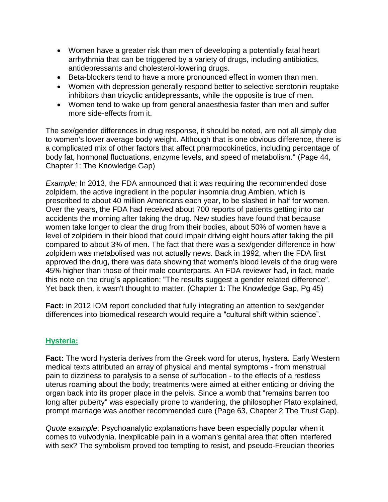- Women have a greater risk than men of developing a potentially fatal heart arrhythmia that can be triggered by a variety of drugs, including antibiotics, antidepressants and cholesterol-lowering drugs.
- Beta-blockers tend to have a more pronounced effect in women than men.
- Women with depression generally respond better to selective serotonin reuptake inhibitors than tricyclic antidepressants, while the opposite is true of men.
- Women tend to wake up from general anaesthesia faster than men and suffer more side-effects from it.

The sex/gender differences in drug response, it should be noted, are not all simply due to women's lower average body weight. Although that is one obvious difference, there is a complicated mix of other factors that affect pharmocokinetics, including percentage of body fat, hormonal fluctuations, enzyme levels, and speed of metabolism." (Page 44, Chapter 1: The Knowledge Gap)

**Example:** In 2013, the FDA announced that it was requiring the recommended dose zolpidem, the active ingredient in the popular insomnia drug Ambien, which is prescribed to about 40 million Americans each year, to be slashed in half for women. Over the years, the FDA had received about 700 reports of patients getting into car accidents the morning after taking the drug. New studies have found that because women take longer to clear the drug from their bodies, about 50% of women have a level of zolpidem in their blood that could impair driving eight hours after taking the pill compared to about 3% of men. The fact that there was a sex/gender difference in how zolpidem was metabolised was not actually news. Back in 1992, when the FDA first approved the drug, there was data showing that women's blood levels of the drug were 45% higher than those of their male counterparts. An FDA reviewer had, in fact, made this note on the drug's application: "The results suggest a gender related difference". Yet back then, it wasn't thought to matter. (Chapter 1: The Knowledge Gap, Pg 45)

**Fact:** in 2012 IOM report concluded that fully integrating an attention to sex/gender differences into biomedical research would require a "cultural shift within science".

## **Hysteria:**

**Fact:** The word hysteria derives from the Greek word for uterus, hystera. Early Western medical texts attributed an array of physical and mental symptoms - from menstrual pain to dizziness to paralysis to a sense of suffocation - to the effects of a restless uterus roaming about the body; treatments were aimed at either enticing or driving the organ back into its proper place in the pelvis. Since a womb that "remains barren too long after puberty" was especially prone to wandering, the philosopher Plato explained, prompt marriage was another recommended cure (Page 63, Chapter 2 The Trust Gap).

*Quote example*: Psychoanalytic explanations have been especially popular when it comes to vulvodynia. Inexplicable pain in a woman's genital area that often interfered with sex? The symbolism proved too tempting to resist, and pseudo-Freudian theories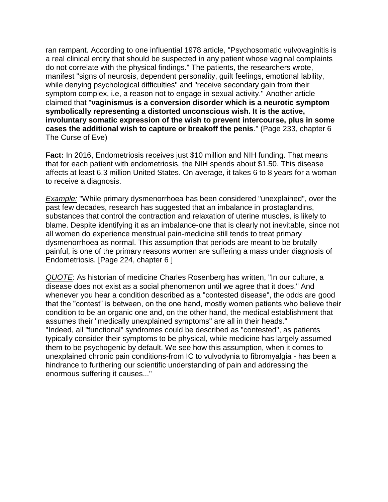ran rampant. According to one influential 1978 article, "Psychosomatic vulvovaginitis is a real clinical entity that should be suspected in any patient whose vaginal complaints do not correlate with the physical findings." The patients, the researchers wrote, manifest "signs of neurosis, dependent personality, guilt feelings, emotional lability, while denying psychological difficulties" and "receive secondary gain from their symptom complex, i.e, a reason not to engage in sexual activity." Another article claimed that "**vaginismus is a conversion disorder which is a neurotic symptom symbolically representing a distorted unconscious wish. It is the active, involuntary somatic expression of the wish to prevent intercourse, plus in some cases the additional wish to capture or breakoff the penis**." (Page 233, chapter 6 The Curse of Eve)

**Fact:** In 2016, Endometriosis receives just \$10 million and NIH funding. That means that for each patient with endometriosis, the NIH spends about \$1.50. This disease affects at least 6.3 million United States. On average, it takes 6 to 8 years for a woman to receive a diagnosis.

*Example:* "While primary dysmenorrhoea has been considered "unexplained", over the past few decades, research has suggested that an imbalance in prostaglandins, substances that control the contraction and relaxation of uterine muscles, is likely to blame. Despite identifying it as an imbalance-one that is clearly not inevitable, since not all women do experience menstrual pain-medicine still tends to treat primary dysmenorrhoea as normal. This assumption that periods are meant to be brutally painful, is one of the primary reasons women are suffering a mass under diagnosis of Endometriosis. [Page 224, chapter 6 ]

*QUOTE*: As historian of medicine Charles Rosenberg has written, "In our culture, a disease does not exist as a social phenomenon until we agree that it does." And whenever you hear a condition described as a "contested disease", the odds are good that the "contest" is between, on the one hand, mostly women patients who believe their condition to be an organic one and, on the other hand, the medical establishment that assumes their "medically unexplained symptoms" are all in their heads." "Indeed, all "functional" syndromes could be described as "contested", as patients typically consider their symptoms to be physical, while medicine has largely assumed them to be psychogenic by default. We see how this assumption, when it comes to unexplained chronic pain conditions-from IC to vulvodynia to fibromyalgia - has been a hindrance to furthering our scientific understanding of pain and addressing the enormous suffering it causes..."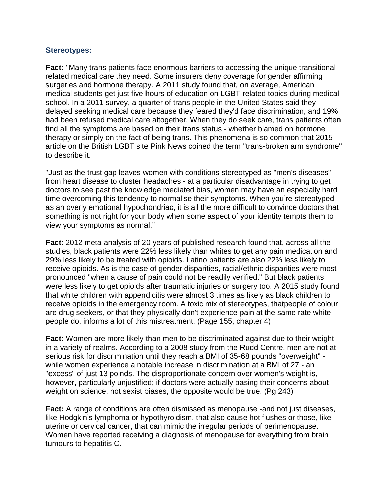#### **Stereotypes:**

**Fact:** "Many trans patients face enormous barriers to accessing the unique transitional related medical care they need. Some insurers deny coverage for gender affirming surgeries and hormone therapy. A 2011 study found that, on average, American medical students get just five hours of education on LGBT related topics during medical school. In a 2011 survey, a quarter of trans people in the United States said they delayed seeking medical care because they feared they'd face discrimination, and 19% had been refused medical care altogether. When they do seek care, trans patients often find all the symptoms are based on their trans status - whether blamed on hormone therapy or simply on the fact of being trans. This phenomena is so common that 2015 article on the British LGBT site Pink News coined the term "trans-broken arm syndrome" to describe it.

"Just as the trust gap leaves women with conditions stereotyped as "men's diseases" from heart disease to cluster headaches - at a particular disadvantage in trying to get doctors to see past the knowledge mediated bias, women may have an especially hard time overcoming this tendency to normalise their symptoms. When you're stereotyped as an overly emotional hypochondriac, it is all the more difficult to convince doctors that something is not right for your body when some aspect of your identity tempts them to view your symptoms as normal."

**Fact**: 2012 meta-analysis of 20 years of published research found that, across all the studies, black patients were 22% less likely than whites to get any pain medication and 29% less likely to be treated with opioids. Latino patients are also 22% less likely to receive opioids. As is the case of gender disparities, racial/ethnic disparities were most pronounced "when a cause of pain could not be readily verified." But black patients were less likely to get opioids after traumatic injuries or surgery too. A 2015 study found that white children with appendicitis were almost 3 times as likely as black children to receive opioids in the emergency room. A toxic mix of stereotypes, thatpeople of colour are drug seekers, or that they physically don't experience pain at the same rate white people do, informs a lot of this mistreatment. (Page 155, chapter 4)

**Fact:** Women are more likely than men to be discriminated against due to their weight in a variety of realms. According to a 2008 study from the Rudd Centre, men are not at serious risk for discrimination until they reach a BMI of 35-68 pounds "overweight" while women experience a notable increase in discrimination at a BMI of 27 - an "excess" of just 13 poinds. The disproportionate concern over women's weight is, however, particularly unjustified; if doctors were actually basing their concerns about weight on science, not sexist biases, the opposite would be true. (Pg 243)

**Fact:** A range of conditions are often dismissed as menopause -and not just diseases, like Hodgkin's lymphoma or hypothyroidism, that also cause hot flushes or those, like uterine or cervical cancer, that can mimic the irregular periods of perimenopause. Women have reported receiving a diagnosis of menopause for everything from brain tumours to hepatitis C.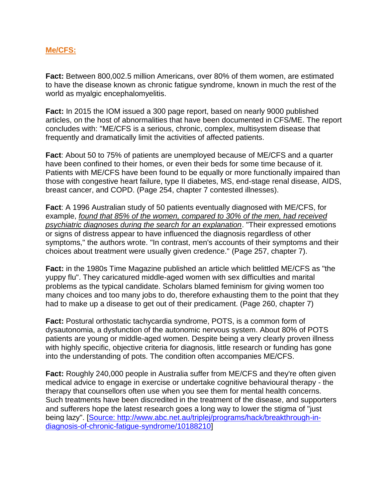## **Me/CFS:**

**Fact:** Between 800,002.5 million Americans, over 80% of them women, are estimated to have the disease known as chronic fatigue syndrome, known in much the rest of the world as myalgic encephalomyelitis.

**Fact:** In 2015 the IOM issued a 300 page report, based on nearly 9000 published articles, on the host of abnormalities that have been documented in CFS/ME. The report concludes with: "ME/CFS is a serious, chronic, complex, multisystem disease that frequently and dramatically limit the activities of affected patients.

**Fact**: About 50 to 75% of patients are unemployed because of ME/CFS and a quarter have been confined to their homes, or even their beds for some time because of it. Patients with ME/CFS have been found to be equally or more functionally impaired than those with congestive heart failure, type II diabetes, MS, end-stage renal disease, AIDS, breast cancer, and COPD. (Page 254, chapter 7 contested illnesses).

**Fact**: A 1996 Australian study of 50 patients eventually diagnosed with ME/CFS, for example, *found that 85% of the women, compared to 30% of the men, had received psychiatric diagnoses during the search for an explanation*. "Their expressed emotions or signs of distress appear to have influenced the diagnosis regardless of other symptoms," the authors wrote. "In contrast, men's accounts of their symptoms and their choices about treatment were usually given credence." (Page 257, chapter 7).

**Fact:** in the 1980s Time Magazine published an article which belittled ME/CFS as "the yuppy flu". They caricatured middle-aged women with sex difficulties and marital problems as the typical candidate. Scholars blamed feminism for giving women too many choices and too many jobs to do, therefore exhausting them to the point that they had to make up a disease to get out of their predicament. (Page 260, chapter 7)

**Fact:** Postural orthostatic tachycardia syndrome, POTS, is a common form of dysautonomia, a dysfunction of the autonomic nervous system. About 80% of POTS patients are young or middle-aged women. Despite being a very clearly proven illness with highly specific, objective criteria for diagnosis, little research or funding has gone into the understanding of pots. The condition often accompanies ME/CFS.

**Fact:** Roughly 240,000 people in Australia suffer from ME/CFS and they're often given medical advice to engage in exercise or undertake cognitive behavioural therapy - the therapy that counsellors often use when you see them for mental health concerns. Such treatments have been discredited in the treatment of the disease, and supporters and sufferers hope the latest research goes a long way to lower the stigma of "just being lazy". [\[Source:](mailto:http://www.abc.net.au/triplej/programs/hack/breakthrough-in-diagnosis-of-chronic-fatigue-syndrome/10188210) http://www.abc.net.au/triplej/programs/hack/breakthrough-indiagnosis-of-chronic-fatigue-syndrome/10188210]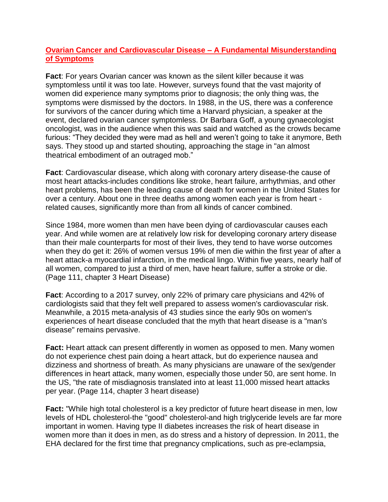## **Ovarian Cancer and Cardiovascular Disease – A Fundamental Misunderstanding of Symptoms**

**Fact**: For years Ovarian cancer was known as the silent killer because it was symptomless until it was too late. However, surveys found that the vast majority of women did experience many symptoms prior to diagnosis; the only thing was, the symptoms were dismissed by the doctors. In 1988, in the US, there was a conference for survivors of the cancer during which time a Harvard physician, a speaker at the event, declared ovarian cancer symptomless. Dr Barbara Goff, a young gynaecologist oncologist, was in the audience when this was said and watched as the crowds became furious: "They decided they were mad as hell and weren't going to take it anymore, Beth says. They stood up and started shouting, approaching the stage in "an almost theatrical embodiment of an outraged mob."

**Fact**: Cardiovascular disease, which along with coronary artery disease-the cause of most heart attacks-includes conditions like stroke, heart failure, arrhythmias, and other heart problems, has been the leading cause of death for women in the United States for over a century. About one in three deaths among women each year is from heart related causes, significantly more than from all kinds of cancer combined.

Since 1984, more women than men have been dying of cardiovascular causes each year. And while women are at relatively low risk for developing coronary artery disease than their male counterparts for most of their lives, they tend to have worse outcomes when they do get it: 26% of women versus 19% of men die within the first year of after a heart attack-a myocardial infarction, in the medical lingo. Within five years, nearly half of all women, compared to just a third of men, have heart failure, suffer a stroke or die. (Page 111, chapter 3 Heart Disease)

**Fact**: According to a 2017 survey, only 22% of primary care physicians and 42% of cardiologists said that they felt well prepared to assess women's cardiovascular risk. Meanwhile, a 2015 meta-analysis of 43 studies since the early 90s on women's experiences of heart disease concluded that the myth that heart disease is a "man's disease" remains pervasive.

**Fact:** Heart attack can present differently in women as opposed to men. Many women do not experience chest pain doing a heart attack, but do experience nausea and dizziness and shortness of breath. As many physicians are unaware of the sex/gender differences in heart attack, many women, especially those under 50, are sent home. In the US, "the rate of misdiagnosis translated into at least 11,000 missed heart attacks per year. (Page 114, chapter 3 heart disease)

**Fact:** "While high total cholesterol is a key predictor of future heart disease in men, low levels of HDL cholesterol-the "good" cholesterol-and high triglyceride levels are far more important in women. Having type II diabetes increases the risk of heart disease in women more than it does in men, as do stress and a history of depression. In 2011, the EHA declared for the first time that pregnancy cmplications, such as pre-eclampsia,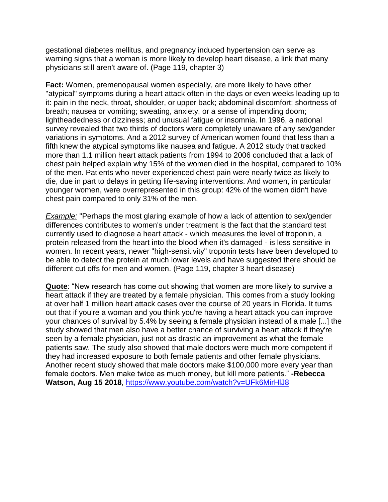gestational diabetes mellitus, and pregnancy induced hypertension can serve as warning signs that a woman is more likely to develop heart disease, a link that many physicians still aren't aware of. (Page 119, chapter 3)

**Fact:** Women, premenopausal women especially, are more likely to have other "atypical" symptoms during a heart attack often in the days or even weeks leading up to it: pain in the neck, throat, shoulder, or upper back; abdominal discomfort; shortness of breath; nausea or vomiting; sweating, anxiety, or a sense of impending doom; lightheadedness or dizziness; and unusual fatigue or insomnia. In 1996, a national survey revealed that two thirds of doctors were completely unaware of any sex/gender variations in symptoms. And a 2012 survey of American women found that less than a fifth knew the atypical symptoms like nausea and fatigue. A 2012 study that tracked more than 1.1 million heart attack patients from 1994 to 2006 concluded that a lack of chest pain helped explain why 15% of the women died in the hospital, compared to 10% of the men. Patients who never experienced chest pain were nearly twice as likely to die, due in part to delays in getting life-saving interventions. And women, in particular younger women, were overrepresented in this group: 42% of the women didn't have chest pain compared to only 31% of the men.

*Example:* "Perhaps the most glaring example of how a lack of attention to sex/gender differences contributes to women's under treatment is the fact that the standard test currently used to diagnose a heart attack - which measures the level of troponin, a protein released from the heart into the blood when it's damaged - is less sensitive in women. In recent years, newer "high-sensitivity" troponin tests have been developed to be able to detect the protein at much lower levels and have suggested there should be different cut offs for men and women. (Page 119, chapter 3 heart disease)

**Quote**: "New research has come out showing that women are more likely to survive a heart attack if they are treated by a female physician. This comes from a study looking at over half 1 million heart attack cases over the course of 20 years in Florida. It turns out that if you're a woman and you think you're having a heart attack you can improve your chances of survival by 5.4% by seeing a female physician instead of a male [...] the study showed that men also have a better chance of surviving a heart attack if they're seen by a female physician, just not as drastic an improvement as what the female patients saw. The study also showed that male doctors were much more competent if they had increased exposure to both female patients and other female physicians. Another recent study showed that male doctors make \$100,000 more every year than female doctors. Men make twice as much money, but kill more patients." **-Rebecca Watson, Aug 15 2018**,<https://www.youtube.com/watch?v=UFk6MirHlJ8>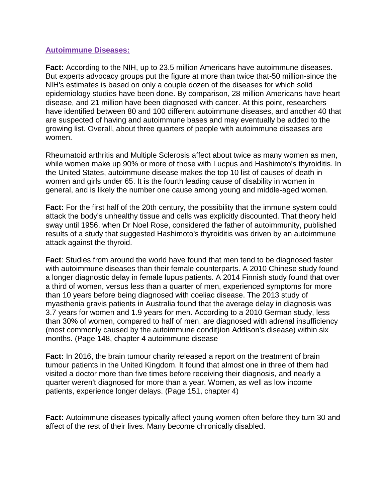#### **Autoimmune Diseases:**

**Fact:** According to the NIH, up to 23.5 million Americans have autoimmune diseases. But experts advocacy groups put the figure at more than twice that-50 million-since the NIH's estimates is based on only a couple dozen of the diseases for which solid epidemiology studies have been done. By comparison, 28 million Americans have heart disease, and 21 million have been diagnosed with cancer. At this point, researchers have identified between 80 and 100 different autoimmune diseases, and another 40 that are suspected of having and autoimmune bases and may eventually be added to the growing list. Overall, about three quarters of people with autoimmune diseases are women.

Rheumatoid arthritis and Multiple Sclerosis affect about twice as many women as men, while women make up 90% or more of those with Lucpus and Hashimoto's thyroiditis. In the United States, autoimmune disease makes the top 10 list of causes of death in women and girls under 65. It is the fourth leading cause of disability in women in general, and is likely the number one cause among young and middle-aged women.

**Fact:** For the first half of the 20th century, the possibility that the immune system could attack the body's unhealthy tissue and cells was explicitly discounted. That theory held sway until 1956, when Dr Noel Rose, considered the father of autoimmunity, published results of a study that suggested Hashimoto's thyroiditis was driven by an autoimmune attack against the thyroid.

**Fact**: Studies from around the world have found that men tend to be diagnosed faster with autoimmune diseases than their female counterparts. A 2010 Chinese study found a longer diagnostic delay in female lupus patients. A 2014 Finnish study found that over a third of women, versus less than a quarter of men, experienced symptoms for more than 10 years before being diagnosed with coeliac disease. The 2013 study of myasthenia gravis patients in Australia found that the average delay in diagnosis was 3.7 years for women and 1.9 years for men. According to a 2010 German study, less than 30% of women, compared to half of men, are diagnosed with adrenal insufficiency (most commonly caused by the autoimmune condit)ion Addison's disease) within six months. (Page 148, chapter 4 autoimmune disease

**Fact:** In 2016, the brain tumour charity released a report on the treatment of brain tumour patients in the United Kingdom. It found that almost one in three of them had visited a doctor more than five times before receiving their diagnosis, and nearly a quarter weren't diagnosed for more than a year. Women, as well as low income patients, experience longer delays. (Page 151, chapter 4)

**Fact:** Autoimmune diseases typically affect young women-often before they turn 30 and affect of the rest of their lives. Many become chronically disabled.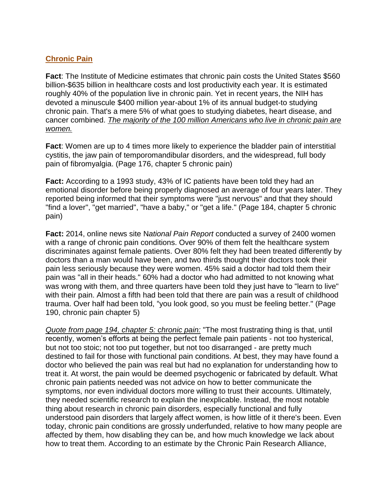## **Chronic Pain**

**Fact**: The Institute of Medicine estimates that chronic pain costs the United States \$560 billion-\$635 billion in healthcare costs and lost productivity each year. It is estimated roughly 40% of the population live in chronic pain. Yet in recent years, the NIH has devoted a minuscule \$400 million year-about 1% of its annual budget-to studying chronic pain. That's a mere 5% of what goes to studying diabetes, heart disease, and cancer combined. *The majority of the 100 million Americans who live in chronic pain are women.*

**Fact**: Women are up to 4 times more likely to experience the bladder pain of interstitial cystitis, the jaw pain of temporomandibular disorders, and the widespread, full body pain of fibromyalgia. (Page 176, chapter 5 chronic pain)

**Fact:** According to a 1993 study, 43% of IC patients have been told they had an emotional disorder before being properly diagnosed an average of four years later. They reported being informed that their symptoms were "just nervous" and that they should "find a lover", "get married", "have a baby," or "get a life." (Page 184, chapter 5 chronic pain)

**Fact:** 2014, online news site N*ational Pain Report* conducted a survey of 2400 women with a range of chronic pain conditions. Over 90% of them felt the healthcare system discriminates against female patients. Over 80% felt they had been treated differently by doctors than a man would have been, and two thirds thought their doctors took their pain less seriously because they were women. 45% said a doctor had told them their pain was "all in their heads." 60% had a doctor who had admitted to not knowing what was wrong with them, and three quarters have been told they just have to "learn to live" with their pain. Almost a fifth had been told that there are pain was a result of childhood trauma. Over half had been told, "you look good, so you must be feeling better." (Page 190, chronic pain chapter 5)

*Quote from page 194, chapter 5: chronic pain:* "The most frustrating thing is that, until recently, women's efforts at being the perfect female pain patients - not too hysterical, but not too stoic; not too put together, but not too disarranged - are pretty much destined to fail for those with functional pain conditions. At best, they may have found a doctor who believed the pain was real but had no explanation for understanding how to treat it. At worst, the pain would be deemed psychogenic or fabricated by default. What chronic pain patients needed was not advice on how to better communicate the symptoms, nor even individual doctors more willing to trust their accounts. Ultimately, they needed scientific research to explain the inexplicable. Instead, the most notable thing about research in chronic pain disorders, especially functional and fully understood pain disorders that largely affect women, is how little of it there's been. Even today, chronic pain conditions are grossly underfunded, relative to how many people are affected by them, how disabling they can be, and how much knowledge we lack about how to treat them. According to an estimate by the Chronic Pain Research Alliance,